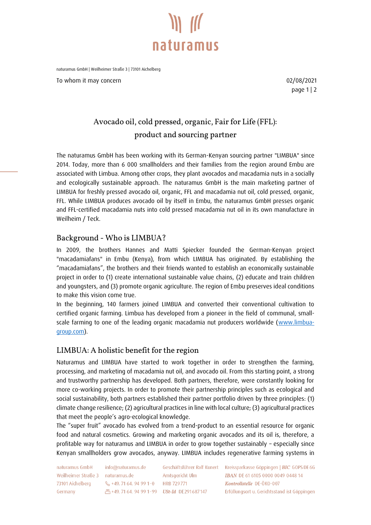

naturamus GmbH | Weilheimer Straße 3 | 73101 Aichelberg

To whom it may concern and the control of the control of the control of the control of the control of the control of the control of the control of the control of the control of the control of the control of the control of

page 1 | 2

## **Avocado oil, cold pressed, organic, Fair for Life (FFL): product and sourcing partner**

The naturamus GmbH has been working with its German-Kenyan sourcing partner "LIMBUA" since 2014. Today, more than 6 000 smallholders and their families from the region around Embu are associated with Limbua. Among other crops, they plant avocados and macadamia nuts in a socially and ecologically sustainable approach. The naturamus GmbH is the main marketing partner of LIMBUA for freshly pressed avocado oil, organic, FFL and macadamia nut oil, cold pressed, organic, FFL. While LIMBUA produces avocado oil by itself in Embu, the naturamus GmbH presses organic and FFL-certified macadamia nuts into cold pressed macadamia nut oil in its own manufacture in Weilheim / Teck.

### **Background - Who is LIMBUA?**

In 2009, the brothers Hannes and Matti Spiecker founded the German-Kenyan project "macadamiafans" in Embu (Kenya), from which LIMBUA has originated. By establishing the "macadamiafans", the brothers and their friends wanted to establish an economically sustainable project in order to (1) create international sustainable value chains, (2) educate and train children and youngsters, and (3) promote organic agriculture. The region of Embu preserves ideal conditions to make this vision come true.

In the beginning, 140 farmers joined LIMBUA and converted their conventional cultivation to certified organic farming. Limbua has developed from a pioneer in the field of communal, small-scale farming to one of the leading organic macadamia nut producers worldwide [\(www.limbua](http://www.limbua-group.com/)[group.com\)](http://www.limbua-group.com/).

#### **LIMBUA: A holistic benefit for the region**

Naturamus and LIMBUA have started to work together in order to strengthen the farming, processing, and marketing of macadamia nut oil, and avocado oil. From this starting point, a strong and trustworthy partnership has developed. Both partners, therefore, were constantly looking for more co-working projects. In order to promote their partnership principles such as ecological and social sustainability, both partners established their partner portfolio driven by three principles: (1) climate change resilience; (2) agricultural practices in line with local culture; (3) agricultural practices that meet the people's agro-ecological knowledge.

The "super fruit" avocado has evolved from a trend-product to an essential resource for organic food and natural cosmetics. Growing and marketing organic avocados and its oil is, therefore, a profitable way for naturamus and LIMBUA in order to grow together sustainably – especially since Kenyan smallholders grow avocados, anyway. LIMBUA includes regenerative farming systems in

naturamus GmbH Weilheimer Straße 3 naturamus.de 73101 Aichelberg Germany

info@naturamus.de & +49, 71 64, 94 99 1-0 HRB 729 771

Amtsgericht Ulm 凸+49.71 64.94 99 1-99 USt-Id DE291687147

Geschäftsführer Ralf Kunert Kreissparkasse Göppingen | BIC GOPS DE 6G **IBAN DE 61 6105 0000 0049 0448 14** Kontrollstelle DE-ÖKO-007 Erfüllungsort u. Gerichtsstand ist Göppingen